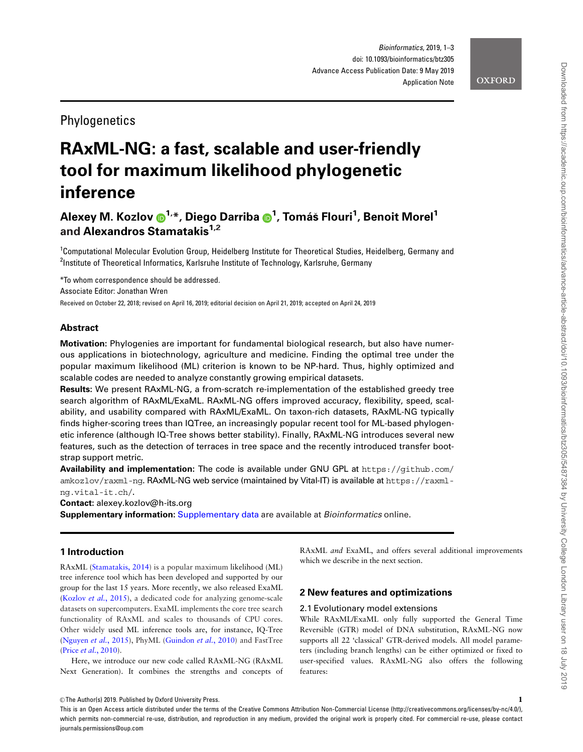# **Phylogenetics**

# RAxML-NG: a fast, scalable and user-friendly tool for maximum likelihood phylogenetic inference

# Alexey M. Kozlov (D<sup>[1](http://orcid.org/0000-0001-5482-3932),</sup>\*, Diego Darriba (D<sup>1</sup>, Tomáš Flouri<sup>1</sup>, Benoit Morel<sup>1</sup> and Alexandros Stamatakis<sup>1,2</sup>

<sup>1</sup>Computational Molecular Evolution Group, Heidelberg Institute for Theoretical Studies, Heidelberg, Germany and <sup>2</sup>Institute of Theoretical Informatics, Karlsruhe Institute of Technology, Karlsruhe, Germany

\*To whom correspondence should be addressed. Associate Editor: Jonathan Wren Received on October 22, 2018; revised on April 16, 2019; editorial decision on April 21, 2019; accepted on April 24, 2019

# Abstract

Motivation: Phylogenies are important for fundamental biological research, but also have numerous applications in biotechnology, agriculture and medicine. Finding the optimal tree under the popular maximum likelihood (ML) criterion is known to be NP-hard. Thus, highly optimized and scalable codes are needed to analyze constantly growing empirical datasets.

Results: We present RAxML-NG, a from-scratch re-implementation of the established greedy tree search algorithm of RAxML/ExaML. RAxML-NG offers improved accuracy, flexibility, speed, scalability, and usability compared with RAxML/ExaML. On taxon-rich datasets, RAxML-NG typically finds higher-scoring trees than IQTree, an increasingly popular recent tool for ML-based phylogenetic inference (although IQ-Tree shows better stability). Finally, RAxML-NG introduces several new features, such as the detection of terraces in tree space and the recently introduced transfer bootstrap support metric.

Availability and implementation: The code is available under GNU GPL at [https://github.com/](https://github.com/amkozlov/raxml-ng) [amkozlov/raxml-ng](https://github.com/amkozlov/raxml-ng). RAxML-NG web service (maintained by Vital-IT) is available at [https://raxml](https://raxml-ng.vital-it.ch/)[ng.vital-it.ch/](https://raxml-ng.vital-it.ch/).

Contact: alexey.kozlov@h-its.org

Supplementary information: [Supplementary data](https://academic.oup.com/bioinformatics/article-lookup/doi/10.1093/bioinformatics/btz305#supplementary-data) are available at Bioinformatics online.

# 1 Introduction

RAxML ([Stamatakis, 2014\)](#page-2-0) is a popular maximum likelihood (ML) tree inference tool which has been developed and supported by our group for the last 15 years. More recently, we also released ExaML ([Kozlov](#page-2-0) et al., 2015), a dedicated code for analyzing genome-scale datasets on supercomputers. ExaML implements the core tree search functionality of RAxML and scales to thousands of CPU cores. Other widely used ML inference tools are, for instance, IQ-Tree ([Nguyen](#page-2-0) et al., 2015), PhyML ([Guindon](#page-2-0) et al., 2010) and FastTree (Price et al.[, 2010](#page-2-0)).

Here, we introduce our new code called RAxML-NG (RAxML Next Generation). It combines the strengths and concepts of RAxML and ExaML, and offers several additional improvements which we describe in the next section.

# 2 New features and optimizations

#### 2.1 Evolutionary model extensions

While RAxML/ExaML only fully supported the General Time Reversible (GTR) model of DNA substitution, RAxML-NG now supports all 22 'classical' GTR-derived models. All model parameters (including branch lengths) can be either optimized or fixed to user-specified values. RAxML-NG also offers the following features:

 $\heartsuit$  The Author(s) 2019. Published by Oxford University Press. 1

This is an Open Access article distributed under the terms of the Creative Commons Attribution Non-Commercial License (http://creativecommons.org/licenses/by-nc/4.0/), which permits non-commercial re-use, distribution, and reproduction in any medium, provided the original work is properly cited. For commercial re-use, please contact journals.permissions@oup.com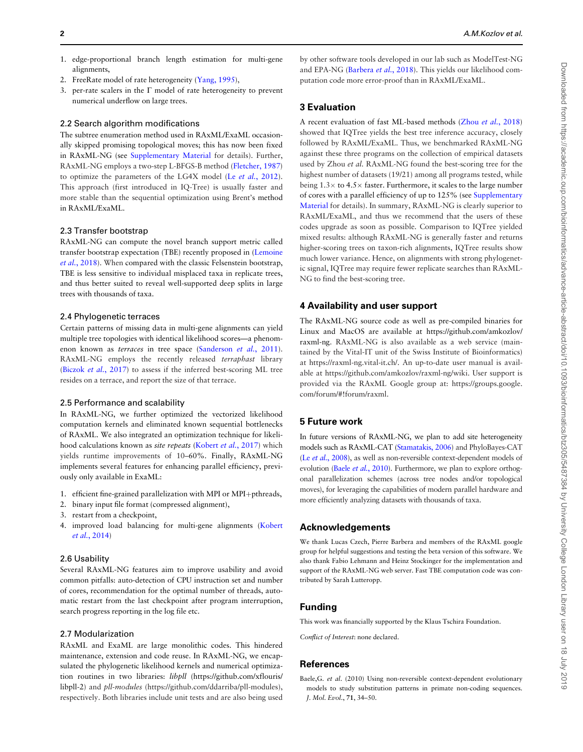by other software tools developed in our lab such as ModelTest-NG and EPA-NG ([Barbera](#page-2-0) et al., 2018). This yields our likelihood computation code more error-proof than in RAxML/ExaML. A recent evaluation of fast ML-based methods (Zhou et al.[, 2018](#page-2-0)) showed that IQTree yields the best tree inference accuracy, closely followed by RAxML/ExaML. Thus, we benchmarked RAxML-NG against these three programs on the collection of empirical datasets used by Zhou et al. RAxML-NG found the best-scoring tree for the highest number of datasets (19/21) among all programs tested, while being  $1.3\times$  to  $4.5\times$  faster. Furthermore, it scales to the large number of cores with a parallel efficiency of up to 125% (see [Supplementary](https://academic.oup.com/bioinformatics/article-lookup/doi/10.1093/bioinformatics/btz305#supplementary-data) [Material](https://academic.oup.com/bioinformatics/article-lookup/doi/10.1093/bioinformatics/btz305#supplementary-data) for details). In summary, RAxML-NG is clearly superior to RAxML/ExaML, and thus we recommend that the users of these codes upgrade as soon as possible. Comparison to IQTree yielded mixed results: although RAxML-NG is generally faster and returns higher-scoring trees on taxon-rich alignments, IQTree results show much lower variance. Hence, on alignments with strong phylogenetic signal, IQTree may require fewer replicate searches than RAxML-NG to find the best-scoring tree. 4 Availability and user support The RAxML-NG source code as well as pre-compiled binaries for Linux and MacOS are available at [https://github.com/amkozlov/](https://github.com/amkozlov/raxml-ng)

[raxml-ng.](https://github.com/amkozlov/raxml-ng) RAxML-NG is also available as a web service (maintained by the Vital-IT unit of the Swiss Institute of Bioinformatics) at [https://raxml-ng.vital-it.ch/.](https://raxml-ng.vital-it.ch/) An up-to-date user manual is available at<https://github.com/amkozlov/raxml-ng/wiki>. User support is provided via the RAxML Google group at: [https://groups.google.](https://groups.google.com/forum/#!forum/raxml) [com/forum/#!forum/raxml](https://groups.google.com/forum/#!forum/raxml).

### 5 Future work

3 Evaluation

In future versions of RAxML-NG, we plan to add site heterogeneity models such as RAxML-CAT [\(Stamatakis, 2006](#page-2-0)) and PhyloBayes-CAT (Le et al.[, 2008](#page-2-0)), as well as non-reversible context-dependent models of evolution (Baele et al., 2010). Furthermore, we plan to explore orthogonal parallelization schemes (across tree nodes and/or topological moves), for leveraging the capabilities of modern parallel hardware and more efficiently analyzing datasets with thousands of taxa.

### Acknowledgements

We thank Lucas Czech, Pierre Barbera and members of the RAxML google group for helpful suggestions and testing the beta version of this software. We also thank Fabio Lehmann and Heinz Stockinger for the implementation and support of the RAxML-NG web server. Fast TBE computation code was contributed by Sarah Lutteropp.

## Funding

This work was financially supported by the Klaus Tschira Foundation.

Conflict of Interest: none declared.

#### **References**

- 1. edge-proportional branch length estimation for multi-gene alignments,
- 2. FreeRate model of rate heterogeneity ([Yang, 1995\)](#page-2-0),
- 3. per-rate scalers in the  $\Gamma$  model of rate heterogeneity to prevent numerical underflow on large trees.

#### 2.2 Search algorithm modifications

The subtree enumeration method used in RAxML/ExaML occasionally skipped promising topological moves; this has now been fixed in RAxML-NG (see [Supplementary Material](https://academic.oup.com/bioinformatics/article-lookup/doi/10.1093/bioinformatics/btz305#supplementary-data) for details). Further, RAxML-NG employs a two-step L-BFGS-B method [\(Fletcher, 1987](#page-2-0)) to optimize the parameters of the LG4X model (Le et al.[, 2012](#page-2-0)). This approach (first introduced in IQ-Tree) is usually faster and more stable than the sequential optimization using Brent's method in RAxML/ExaML.

#### 2.3 Transfer bootstrap

RAxML-NG can compute the novel branch support metric called transfer bootstrap expectation (TBE) recently proposed in [\(Lemoine](#page-2-0) et al.[, 2018](#page-2-0)). When compared with the classic Felsenstein bootstrap, TBE is less sensitive to individual misplaced taxa in replicate trees, and thus better suited to reveal well-supported deep splits in large trees with thousands of taxa.

#### 2.4 Phylogenetic terraces

Certain patterns of missing data in multi-gene alignments can yield multiple tree topologies with identical likelihood scores—a phenomenon known as *terraces* in tree space [\(Sanderson](#page-2-0) et al., 2011). RAxML-NG employs the recently released terraphast library (Biczok et al.[, 2017\)](#page-2-0) to assess if the inferred best-scoring ML tree resides on a terrace, and report the size of that terrace.

#### 2.5 Performance and scalability

In RAxML-NG, we further optimized the vectorized likelihood computation kernels and eliminated known sequential bottlenecks of RAxML. We also integrated an optimization technique for likeli-hood calculations known as site repeats ([Kobert](#page-2-0) et al., 2017) which yields runtime improvements of 10–60%. Finally, RAxML-NG implements several features for enhancing parallel efficiency, previously only available in ExaML:

- 1. efficient fine-grained parallelization with MPI or MPI+pthreads,
- 2. binary input file format (compressed alignment),
- 3. restart from a checkpoint,
- 4. improved load balancing for multi-gene alignments [\(Kobert](#page-2-0) et al.[, 2014\)](#page-2-0)

#### 2.6 Usability

Several RAxML-NG features aim to improve usability and avoid common pitfalls: auto-detection of CPU instruction set and number of cores, recommendation for the optimal number of threads, automatic restart from the last checkpoint after program interruption, search progress reporting in the log file etc.

#### 2.7 Modularization

RAxML and ExaML are large monolithic codes. This hindered maintenance, extension and code reuse. In RAxML-NG, we encapsulated the phylogenetic likelihood kernels and numerical optimization routines in two libraries: libpll [\(https://github.com/xflouris/](https://github.com/xflouris/libpll-2) [libpll-2\)](https://github.com/xflouris/libpll-2) and pll-modules (<https://github.com/ddarriba/pll-modules>), respectively. Both libraries include unit tests and are also being used

Baele,G. et al. (2010) Using non-reversible context-dependent evolutionary models to study substitution patterns in primate non-coding sequences. J. Mol. Evol., 71, 34–50.